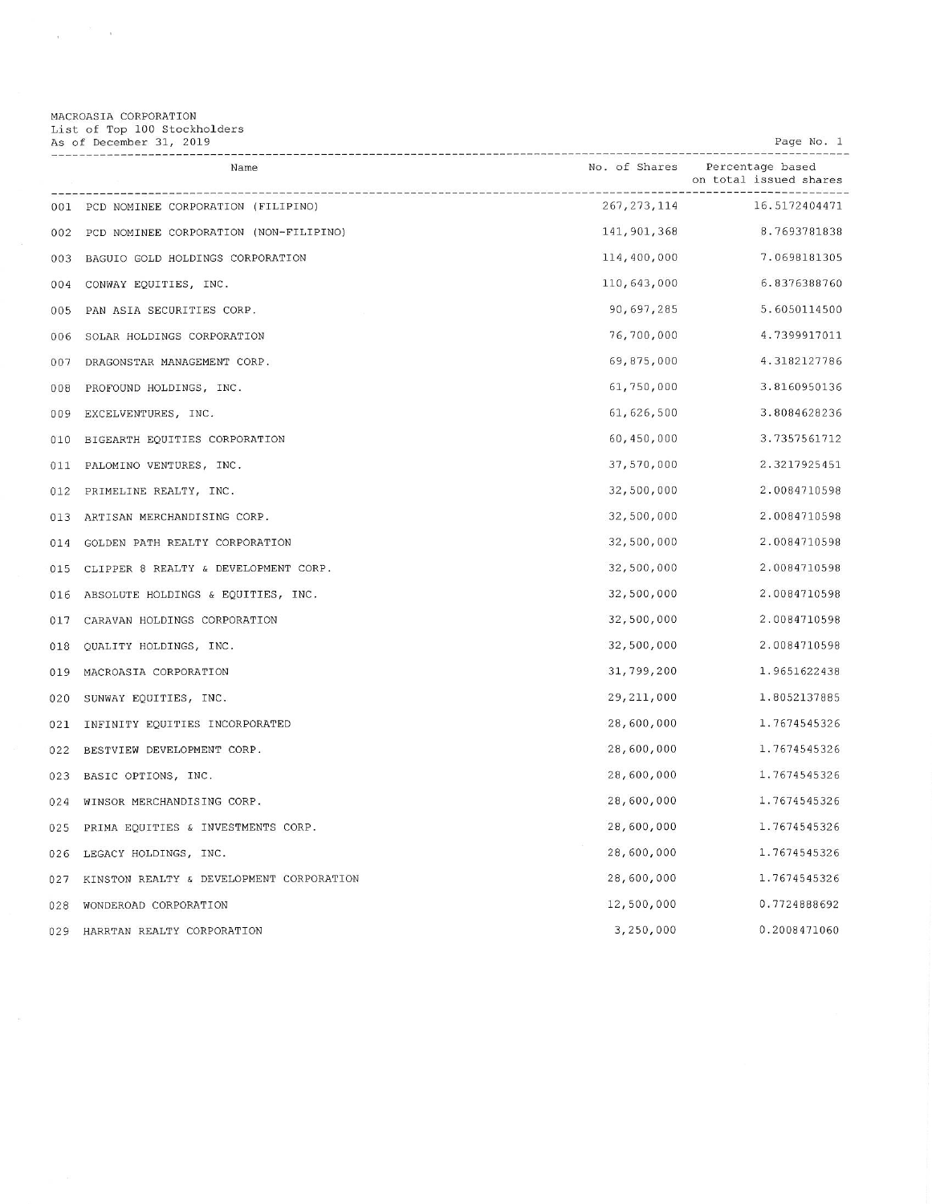MACROASIA CORPORATION<br>List of Top 100 Stockholders<br>As of December 31, 2019

 $e^{-\frac{2\pi}{\hbar}}=e$ 

| Page | No. |  |
|------|-----|--|
|      |     |  |

|     | Name                                     |               | No. of Shares Percentage based<br>on total issued shares |
|-----|------------------------------------------|---------------|----------------------------------------------------------|
| 001 | PCD NOMINEE CORPORATION (FILIPINO)       | 267, 273, 114 | 16.5172404471                                            |
| 002 | PCD NOMINEE CORPORATION (NON-FILIPINO)   | 141, 901, 368 | 8.7693781838                                             |
| 003 | BAGUIO GOLD HOLDINGS CORPORATION         | 114,400,000   | 7.0698181305                                             |
| 004 | CONWAY EQUITIES, INC.                    | 110,643,000   | 6.8376388760                                             |
| 005 | PAN ASIA SECURITIES CORP.                | 90,697,285    | 5.6050114500                                             |
| 006 | SOLAR HOLDINGS CORPORATION               | 76,700,000    | 4.7399917011                                             |
| 007 | DRAGONSTAR MANAGEMENT CORP.              | 69,875,000    | 4.3182127786                                             |
| 008 | PROFOUND HOLDINGS, INC.                  | 61,750,000    | 3.8160950136                                             |
| 009 | EXCELVENTURES, INC.                      | 61, 626, 500  | 3.8084628236                                             |
| 010 | BIGEARTH EQUITIES CORPORATION            | 60,450,000    | 3.7357561712                                             |
| 011 | PALOMINO VENTURES, INC.                  | 37,570,000    | 2.3217925451                                             |
| 012 | PRIMELINE REALTY, INC.                   | 32,500,000    | 2.0084710598                                             |
| 013 | ARTISAN MERCHANDISING CORP.              | 32,500,000    | 2.0084710598                                             |
| 014 | GOLDEN PATH REALTY CORPORATION           | 32,500,000    | 2.0084710598                                             |
| 015 | CLIPPER 8 REALTY & DEVELOPMENT CORP.     | 32,500,000    | 2.0084710598                                             |
| 016 | ABSOLUTE HOLDINGS & EQUITIES, INC.       | 32,500,000    | 2.0084710598                                             |
| 017 | CARAVAN HOLDINGS CORPORATION             | 32,500,000    | 2.0084710598                                             |
| 018 | QUALITY HOLDINGS, INC.                   | 32,500,000    | 2.0084710598                                             |
| 019 | MACROASIA CORPORATION                    | 31,799,200    | 1.9651622438                                             |
| 020 | SUNWAY EQUITIES, INC.                    | 29, 211, 000  | 1.8052137885                                             |
| 021 | INFINITY EQUITIES INCORPORATED           | 28,600,000    | 1.7674545326                                             |
| 022 | BESTVIEW DEVELOPMENT CORP.               | 28,600,000    | 1.7674545326                                             |
| 023 | BASIC OPTIONS, INC.                      | 28,600,000    | 1.7674545326                                             |
| 024 | WINSOR MERCHANDISING CORP.               | 28,600,000    | 1.7674545326                                             |
| 025 | PRIMA EQUITIES & INVESTMENTS CORP.       | 28,600,000    | 1.7674545326                                             |
| 026 | LEGACY HOLDINGS, INC.                    | 28,600,000    | 1.7674545326                                             |
| 027 | KINSTON REALTY & DEVELOPMENT CORPORATION | 28,600,000    | 1.7674545326                                             |
| 028 | WONDEROAD CORPORATION                    | 12,500,000    | 0.7724888692                                             |
| 029 | HARRTAN REALTY CORPORATION               | 3,250,000     | 0.2008471060                                             |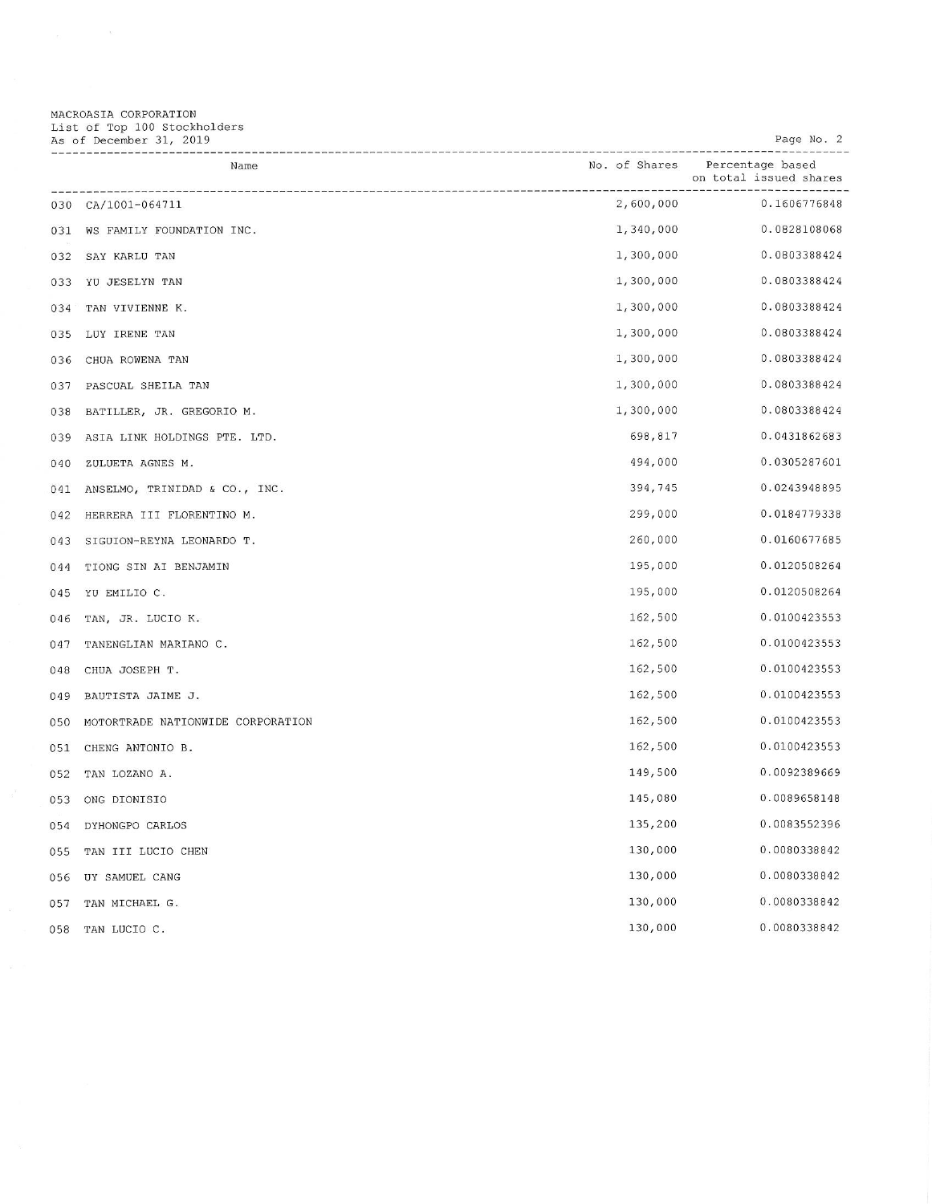MACROASIA CORPORATION<br>List of Top 100 Stockholders<br>As of December 31, 2019

Page No. 2

|     | Name                              | No. of Shares | Percentage based<br>on total issued shares |
|-----|-----------------------------------|---------------|--------------------------------------------|
| 030 | CA/1001-064711                    | 2,600,000     | 0.1606776848                               |
| 031 | WS FAMILY FOUNDATION INC.         | 1,340,000     | 0.0828108068                               |
| 032 | SAY KARLU TAN                     | 1,300,000     | 0.0803388424                               |
| 033 | YU JESELYN TAN                    | 1,300,000     | 0.0803388424                               |
| 034 | TAN VIVIENNE K.                   | 1,300,000     | 0.0803388424                               |
| 035 | LUY IRENE TAN                     | 1,300,000     | 0.0803388424                               |
| 036 | CHUA ROWENA TAN                   | 1,300,000     | 0.0803388424                               |
| 037 | PASCUAL SHEILA TAN                | 1,300,000     | 0.0803388424                               |
| 038 | BATILLER, JR. GREGORIO M.         | 1,300,000     | 0.0803388424                               |
| 039 | ASIA LINK HOLDINGS PTE. LTD.      | 698,817       | 0.0431862683                               |
| 040 | ZULUETA AGNES M.                  | 494,000       | 0.0305287601                               |
| 041 | ANSELMO, TRINIDAD & CO., INC.     | 394,745       | 0.0243948895                               |
| 042 | HERRERA III FLORENTINO M.         | 299,000       | 0.0184779338                               |
| 043 | SIGUION-REYNA LEONARDO T.         | 260,000       | 0.0160677685                               |
| 044 | TIONG SIN AI BENJAMIN             | 195,000       | 0.0120508264                               |
| 045 | YU EMILIO C.                      | 195,000       | 0.0120508264                               |
| 046 | TAN, JR. LUCIO K.                 | 162,500       | 0.0100423553                               |
| 047 | TANENGLIAN MARIANO C.             | 162,500       | 0.0100423553                               |
| 048 | CHUA JOSEPH T.                    | 162,500       | 0.0100423553                               |
| 049 | BAUTISTA JAIME J.                 | 162,500       | 0.0100423553                               |
| 050 | MOTORTRADE NATIONWIDE CORPORATION | 162,500       | 0.0100423553                               |
| 051 | CHENG ANTONIO B.                  | 162,500       | 0.0100423553                               |
| 052 | TAN LOZANO A.                     | 149,500       | 0.0092389669                               |
| 053 | ONG DIONISIO                      | 145,080       | 0.0089658148                               |
| 054 | DYHONGPO CARLOS                   | 135,200       | 0.0083552396                               |
| 055 | TAN III LUCIO CHEN                | 130,000       | 0.0080338842                               |
| 056 | UY SAMUEL CANG                    | 130,000       | 0.0080338842                               |
| 057 | TAN MICHAEL G.                    | 130,000       | 0.0080338842                               |
| 058 | TAN LUCIO C.                      | 130,000       | 0.0080338842                               |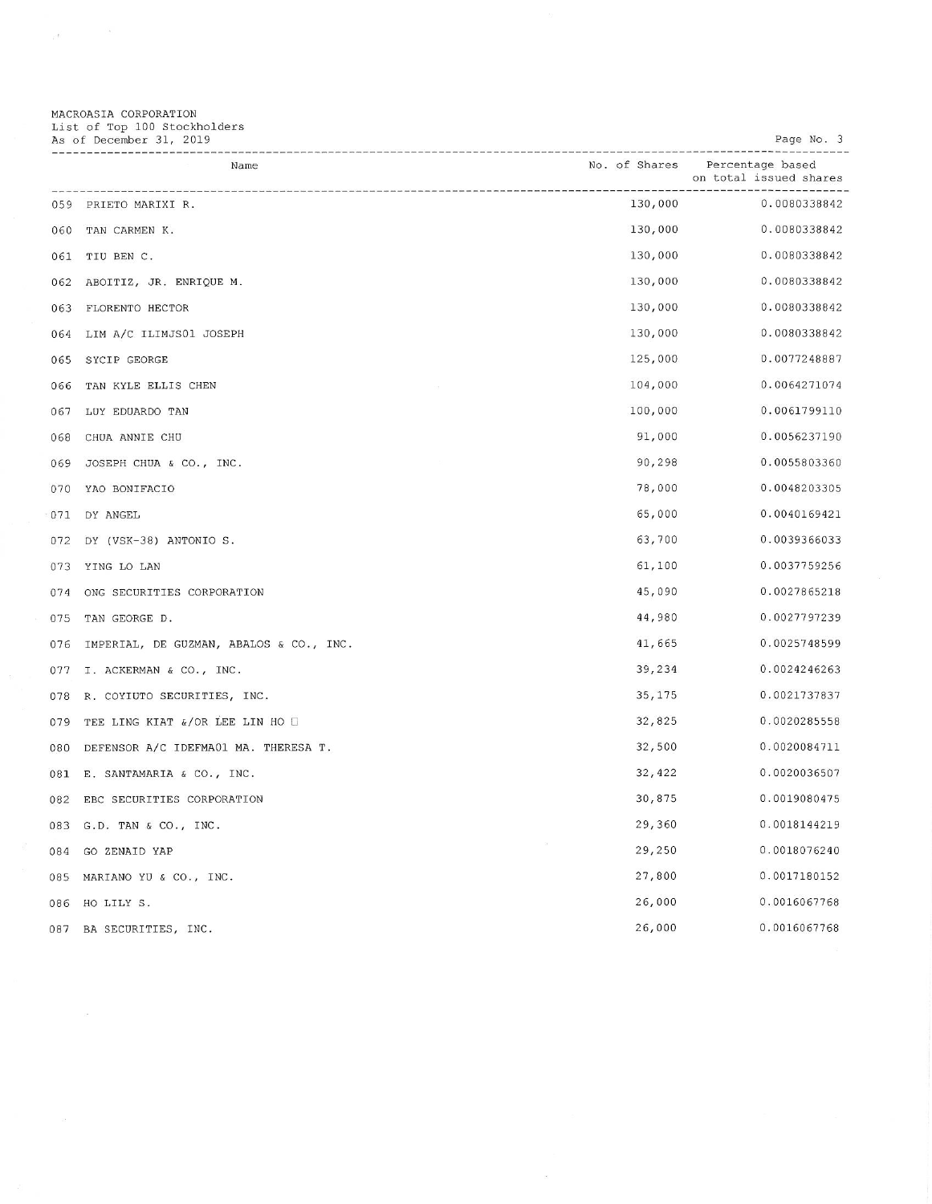MACROASIA CORPORATION<br>List of Top 100 Stockholders<br>As of December 31, 2019

 $\label{eq:2.1} \frac{1}{2} \int_{\mathbb{R}^3} \left| \frac{d\mathbf{x}}{d\mathbf{x}} \right| \, d\mathbf{x} = \frac{1}{2} \int_{\mathbb{R}^3} \left| \frac{d\mathbf{x}}{d\mathbf{x}} \right| \, d\mathbf{x}$ 

Page No. 3

|     | Name                                    | No. of Shares | Percentage based<br>on total issued shares |
|-----|-----------------------------------------|---------------|--------------------------------------------|
| 059 | PRIETO MARIXI R.                        | 130,000       | 0.0080338842                               |
| 060 | TAN CARMEN K.                           | 130,000       | 0.0080338842                               |
| 061 | TIU BEN C.                              | 130,000       | 0.0080338842                               |
| 062 | ABOITIZ, JR. ENRIQUE M.                 | 130,000       | 0.0080338842                               |
| 063 | FLORENTO HECTOR                         | 130,000       | 0.0080338842                               |
| 064 | LIM A/C ILIMJS01 JOSEPH                 | 130,000       | 0.0080338842                               |
| 065 | SYCIP GEORGE                            | 125,000       | 0.0077248887                               |
| 066 | TAN KYLE ELLIS CHEN                     | 104,000       | 0.0064271074                               |
| 067 | LUY EDUARDO TAN                         | 100,000       | 0.0061799110                               |
| 068 | CHUA ANNIE CHU                          | 91,000        | 0.0056237190                               |
| 069 | JOSEPH CHUA & CO., INC.                 | 90,298        | 0.0055803360                               |
| 070 | YAO BONIFACIO                           | 78,000        | 0.0048203305                               |
| 071 | DY ANGEL                                | 65,000        | 0.0040169421                               |
| 072 | DY (VSK-38) ANTONIO S.                  | 63,700        | 0.0039366033                               |
| 073 | YING LO LAN                             | 61,100        | 0.0037759256                               |
| 074 | ONG SECURITIES CORPORATION              | 45,090        | 0.0027865218                               |
| 075 | TAN GEORGE D.                           | 44,980        | 0.0027797239                               |
| 076 | IMPERIAL, DE GUZMAN, ABALOS & CO., INC. | 41,665        | 0.0025748599                               |
| 077 | I. ACKERMAN & CO., INC.                 | 39,234        | 0.0024246263                               |
| 078 | R. COYIUTO SECURITIES, INC.             | 35,175        | 0.0021737837                               |
| 079 | TEE LING KIAT &/OR LEE LIN HO O         | 32,825        | 0.0020285558                               |
| 080 | DEFENSOR A/C IDEFMA01 MA. THERESA T.    | 32,500        | 0.0020084711                               |
| 081 | E. SANTAMARIA & CO., INC.               | 32, 422       | 0.0020036507                               |
| 082 | EBC SECURITIES CORPORATION              | 30,875        | 0.0019080475                               |
| 083 | G.D. TAN & CO., INC.                    | 29,360        | 0.0018144219                               |
| 084 | GO ZENAID YAP                           | 29,250        | 0.0018076240                               |
| 085 | MARIANO YU & CO., INC.                  | 27,800        | 0.0017180152                               |
| 086 | HO LILY S.                              | 26,000        | 0.0016067768                               |
| 087 | BA SECURITIES, INC.                     | 26,000        | 0.0016067768                               |

 $\mathcal{B}$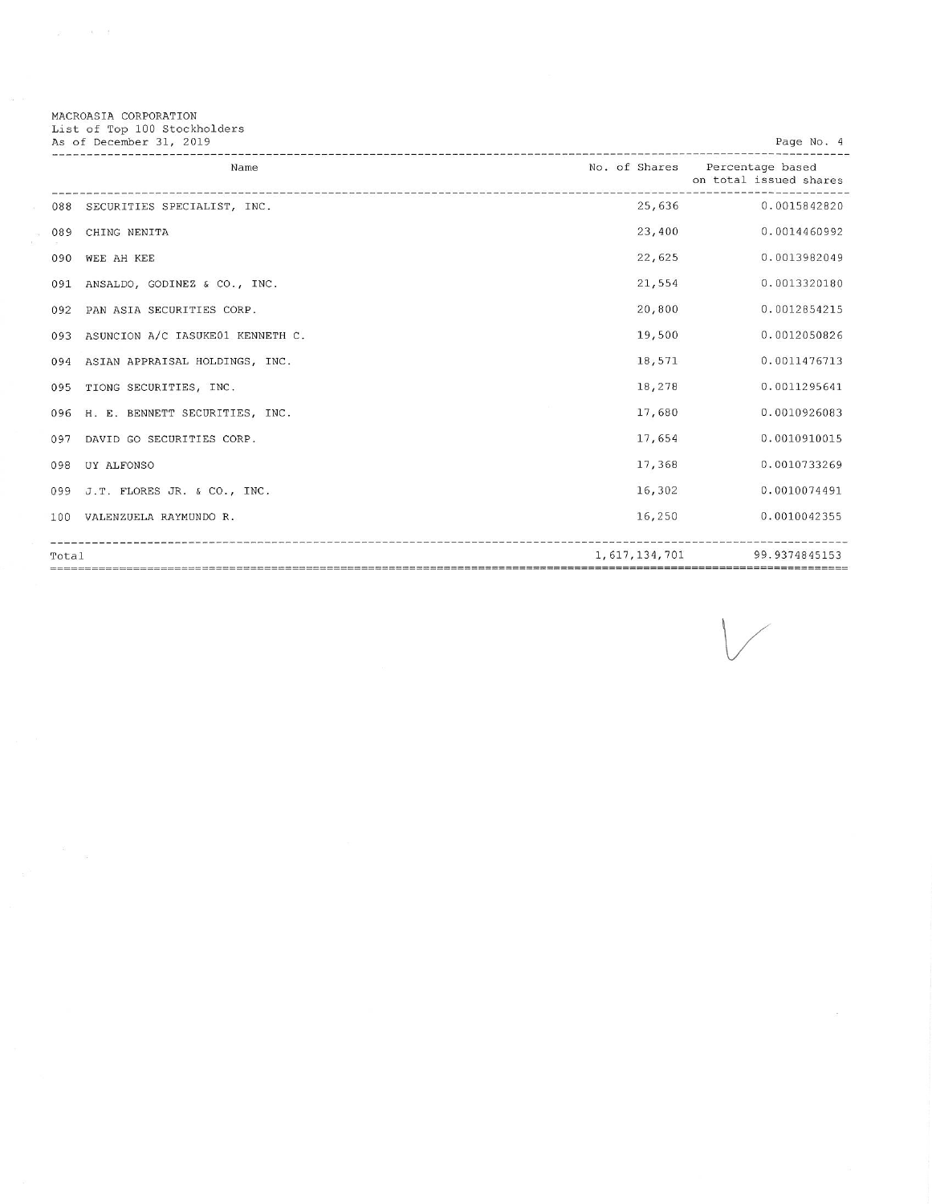|  | MACROASIA CORPORATION |  |                              |  |
|--|-----------------------|--|------------------------------|--|
|  |                       |  | List of Top 100 Stockholders |  |
|  |                       |  | As of December 31, 2019      |  |

 $\mu = -\alpha - \tilde{\beta}$ 

|       | Name                             | No. of Shares | Percentage based<br>on total issued shares |
|-------|----------------------------------|---------------|--------------------------------------------|
| 088   | SECURITIES SPECIALIST, INC.      |               | 25,636<br>0.0015842820                     |
| 089   | CHING NENITA                     | 23,400        | 0.0014460992                               |
| 090   | WEE AH KEE                       | 22,625        | 0.0013982049                               |
| 091   | ANSALDO, GODINEZ & CO., INC.     | 21,554        | 0.0013320180                               |
| 092   | PAN ASIA SECURITIES CORP.        | 20,800        | 0.0012854215                               |
| 093   | ASUNCION A/C IASUKE01 KENNETH C. | 19,500        | 0.0012050826                               |
| 094   | ASIAN APPRAISAL HOLDINGS, INC.   | 18,571        | 0.0011476713                               |
| 095   | TIONG SECURITIES, INC.           | 18,278        | 0.0011295641                               |
| 096   | H. E. BENNETT SECURITIES, INC.   | 17,680        | 0.0010926083                               |
| 097   | DAVID GO SECURITIES CORP.        | 17,654        | 0.0010910015                               |
| 098   | UY ALFONSO                       | 17,368        | 0.0010733269                               |
| 099   | J.T. FLORES JR. & CO., INC.      | 16,302        | 0.0010074491                               |
| 100   | VALENZUELA RAYMUNDO R.           | 16,250        | 0.0010042355                               |
| Total |                                  | 1,617,134,701 | 99.9374845153                              |

 $\omega$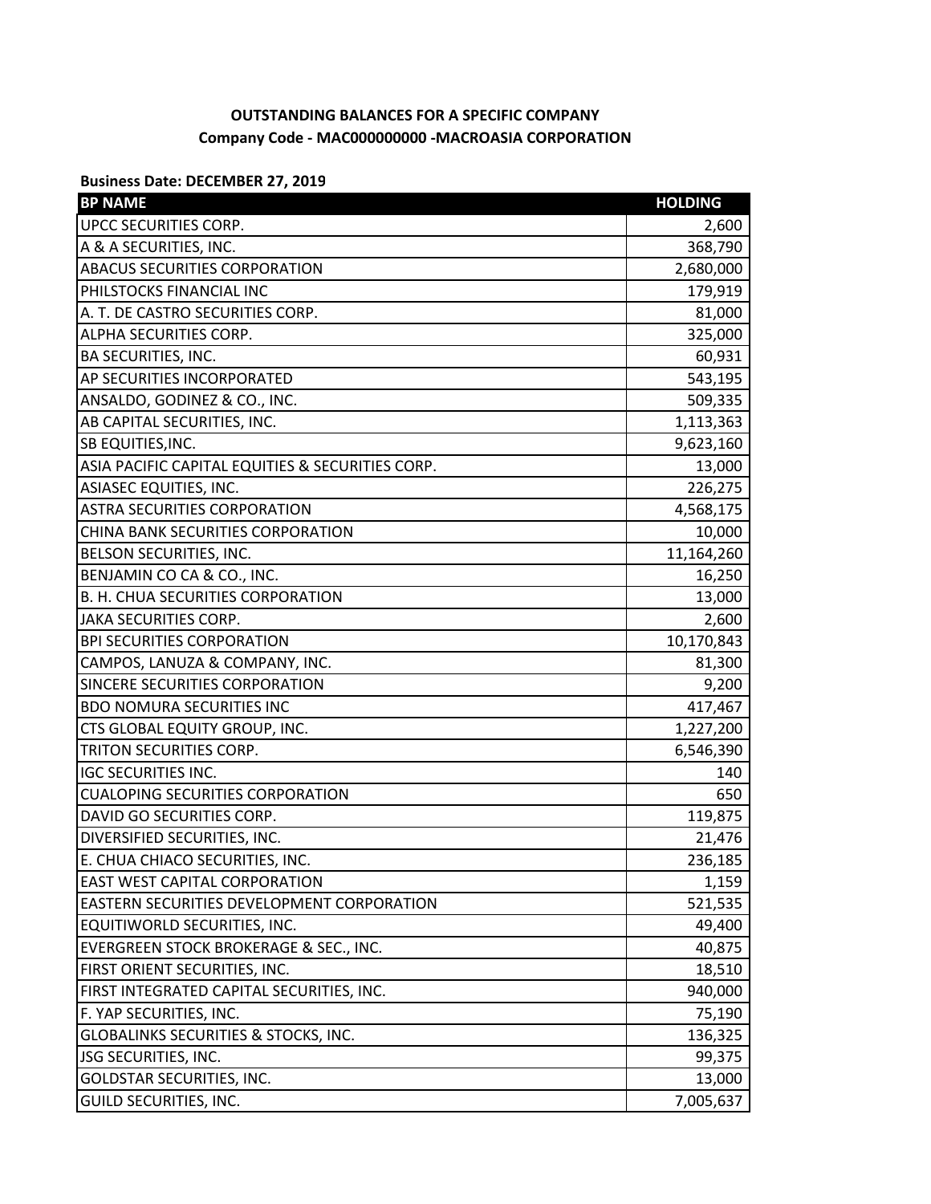## **OUTSTANDING BALANCES FOR A SPECIFIC COMPANY Company Code - MAC000000000 -MACROASIA CORPORATION**

## **Business Date: DECEMBER 27, 2019**

| <b>BP NAME</b>                                   | <b>HOLDING</b> |
|--------------------------------------------------|----------------|
| UPCC SECURITIES CORP.                            | 2,600          |
| A & A SECURITIES, INC.                           | 368,790        |
| ABACUS SECURITIES CORPORATION                    | 2,680,000      |
| PHILSTOCKS FINANCIAL INC                         | 179,919        |
| A. T. DE CASTRO SECURITIES CORP.                 | 81,000         |
| ALPHA SECURITIES CORP.                           | 325,000        |
| <b>BA SECURITIES, INC.</b>                       | 60,931         |
| AP SECURITIES INCORPORATED                       | 543,195        |
| ANSALDO, GODINEZ & CO., INC.                     | 509,335        |
| AB CAPITAL SECURITIES, INC.                      | 1,113,363      |
| SB EQUITIES, INC.                                | 9,623,160      |
| ASIA PACIFIC CAPITAL EQUITIES & SECURITIES CORP. | 13,000         |
| ASIASEC EQUITIES, INC.                           | 226,275        |
| <b>ASTRA SECURITIES CORPORATION</b>              | 4,568,175      |
| CHINA BANK SECURITIES CORPORATION                | 10,000         |
| BELSON SECURITIES, INC.                          | 11,164,260     |
| BENJAMIN CO CA & CO., INC.                       | 16,250         |
| B. H. CHUA SECURITIES CORPORATION                | 13,000         |
| <b>JAKA SECURITIES CORP.</b>                     | 2,600          |
| <b>BPI SECURITIES CORPORATION</b>                | 10,170,843     |
| CAMPOS, LANUZA & COMPANY, INC.                   | 81,300         |
| SINCERE SECURITIES CORPORATION                   | 9,200          |
| <b>BDO NOMURA SECURITIES INC</b>                 | 417,467        |
| CTS GLOBAL EQUITY GROUP, INC.                    | 1,227,200      |
| TRITON SECURITIES CORP.                          | 6,546,390      |
| <b>IGC SECURITIES INC.</b>                       | 140            |
| <b>CUALOPING SECURITIES CORPORATION</b>          | 650            |
| DAVID GO SECURITIES CORP.                        | 119,875        |
| DIVERSIFIED SECURITIES, INC.                     | 21,476         |
| E. CHUA CHIACO SECURITIES, INC.                  | 236,185        |
| EAST WEST CAPITAL CORPORATION                    | 1,159          |
| EASTERN SECURITIES DEVELOPMENT CORPORATION       | 521,535        |
| EQUITIWORLD SECURITIES, INC.                     | 49,400         |
| EVERGREEN STOCK BROKERAGE & SEC., INC.           | 40,875         |
| FIRST ORIENT SECURITIES, INC.                    | 18,510         |
| FIRST INTEGRATED CAPITAL SECURITIES, INC.        | 940,000        |
| F. YAP SECURITIES, INC.                          | 75,190         |
| GLOBALINKS SECURITIES & STOCKS, INC.             | 136,325        |
| <b>JSG SECURITIES, INC.</b>                      | 99,375         |
| GOLDSTAR SECURITIES, INC.                        | 13,000         |
| GUILD SECURITIES, INC.                           | 7,005,637      |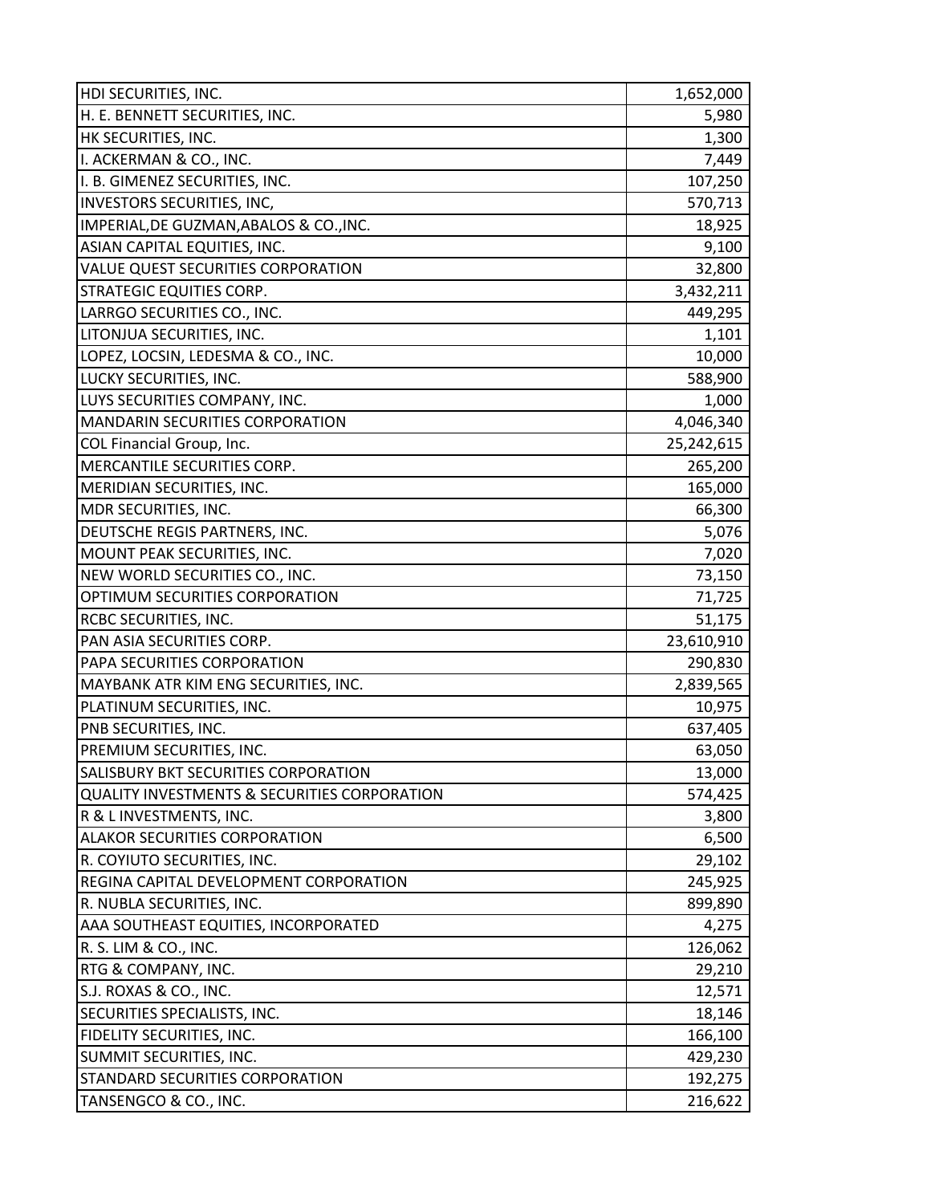| HDI SECURITIES, INC.                                    | 1,652,000  |
|---------------------------------------------------------|------------|
| H. E. BENNETT SECURITIES, INC.                          | 5,980      |
| HK SECURITIES, INC.                                     | 1,300      |
| I. ACKERMAN & CO., INC.                                 | 7,449      |
| I. B. GIMENEZ SECURITIES, INC.                          | 107,250    |
| INVESTORS SECURITIES, INC,                              | 570,713    |
| IMPERIAL, DE GUZMAN, ABALOS & CO., INC.                 | 18,925     |
| ASIAN CAPITAL EQUITIES, INC.                            | 9,100      |
| VALUE QUEST SECURITIES CORPORATION                      | 32,800     |
| <b>STRATEGIC EQUITIES CORP.</b>                         | 3,432,211  |
| LARRGO SECURITIES CO., INC.                             | 449,295    |
| LITONJUA SECURITIES, INC.                               | 1,101      |
| LOPEZ, LOCSIN, LEDESMA & CO., INC.                      | 10,000     |
| LUCKY SECURITIES, INC.                                  | 588,900    |
| LUYS SECURITIES COMPANY, INC.                           | 1,000      |
| MANDARIN SECURITIES CORPORATION                         | 4,046,340  |
| COL Financial Group, Inc.                               | 25,242,615 |
| MERCANTILE SECURITIES CORP.                             | 265,200    |
| MERIDIAN SECURITIES, INC.                               | 165,000    |
| MDR SECURITIES, INC.                                    | 66,300     |
| DEUTSCHE REGIS PARTNERS, INC.                           | 5,076      |
| MOUNT PEAK SECURITIES, INC.                             | 7,020      |
| NEW WORLD SECURITIES CO., INC.                          | 73,150     |
| OPTIMUM SECURITIES CORPORATION                          | 71,725     |
| RCBC SECURITIES, INC.                                   | 51,175     |
| PAN ASIA SECURITIES CORP.                               | 23,610,910 |
| PAPA SECURITIES CORPORATION                             | 290,830    |
| MAYBANK ATR KIM ENG SECURITIES, INC.                    | 2,839,565  |
| PLATINUM SECURITIES, INC.                               | 10,975     |
| PNB SECURITIES, INC.                                    | 637,405    |
| PREMIUM SECURITIES, INC.                                | 63,050     |
| SALISBURY BKT SECURITIES CORPORATION                    | 13,000     |
| <b>QUALITY INVESTMENTS &amp; SECURITIES CORPORATION</b> | 574,425    |
| R & L INVESTMENTS, INC.                                 | 3,800      |
| ALAKOR SECURITIES CORPORATION                           | 6,500      |
| R. COYIUTO SECURITIES, INC.                             | 29,102     |
| REGINA CAPITAL DEVELOPMENT CORPORATION                  | 245,925    |
| R. NUBLA SECURITIES, INC.                               | 899,890    |
| AAA SOUTHEAST EQUITIES, INCORPORATED                    | 4,275      |
| R. S. LIM & CO., INC.                                   | 126,062    |
| RTG & COMPANY, INC.                                     | 29,210     |
| S.J. ROXAS & CO., INC.                                  | 12,571     |
| SECURITIES SPECIALISTS, INC.                            | 18,146     |
| FIDELITY SECURITIES, INC.                               | 166,100    |
| SUMMIT SECURITIES, INC.                                 | 429,230    |
| STANDARD SECURITIES CORPORATION                         | 192,275    |
| TANSENGCO & CO., INC.                                   | 216,622    |